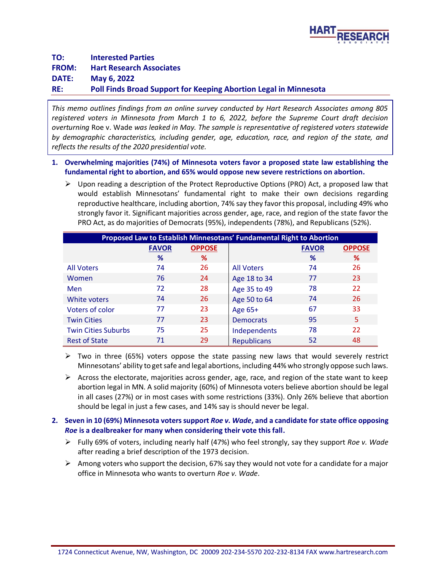

**TO: Interested Parties FROM: Hart Research Associates DATE: May 6, 2022 RE: Poll Finds Broad Support for Keeping Abortion Legal in Minnesota**

*This memo outlines findings from an online survey conducted by Hart Research Associates among 805 registered voters in Minnesota from March 1 to 6, 2022, before the Supreme Court draft decision overturning* Roe v. Wade *was leaked in May. The sample is representative of registered voters statewide by demographic characteristics, including gender, age, education, race, and region of the state, and reflects the results of the 2020 presidential vote.*

## **1. Overwhelming majorities (74%) of Minnesota voters favor a proposed state law establishing the fundamental right to abortion, and 65% would oppose new severe restrictions on abortion.**

 $\triangleright$  Upon reading a description of the Protect Reproductive Options (PRO) Act, a proposed law that would establish Minnesotans' fundamental right to make their own decisions regarding reproductive healthcare, including abortion, 74% say they favor this proposal, including 49% who strongly favor it. Significant majorities across gender, age, race, and region of the state favor the PRO Act, as do majorities of Democrats (95%), independents (78%), and Republicans (52%).

| Proposed Law to Establish Minnesotans' Fundamental Right to Abortion |              |               |                    |              |               |
|----------------------------------------------------------------------|--------------|---------------|--------------------|--------------|---------------|
|                                                                      | <b>FAVOR</b> | <b>OPPOSE</b> |                    | <b>FAVOR</b> | <b>OPPOSE</b> |
|                                                                      | %            | %             |                    | %            | %             |
| <b>All Voters</b>                                                    | 74           | 26            | <b>All Voters</b>  | 74           | 26            |
| Women                                                                | 76           | 24            | Age 18 to 34       | 77           | 23            |
| <b>Men</b>                                                           | 72           | 28            | Age 35 to 49       | 78           | 22            |
| White voters                                                         | 74           | 26            | Age 50 to 64       | 74           | 26            |
| Voters of color                                                      | 77           | 23            | Age 65+            | 67           | 33            |
| <b>Twin Cities</b>                                                   | 77           | 23            | <b>Democrats</b>   | 95           | 5             |
| <b>Twin Cities Suburbs</b>                                           | 75           | 25            | Independents       | 78           | 22            |
| <b>Rest of State</b>                                                 | 71           | 29            | <b>Republicans</b> | 52           | 48            |

- $\triangleright$  Two in three (65%) voters oppose the state passing new laws that would severely restrict Minnesotans' ability to get safe and legal abortions, including 44% who strongly oppose such laws.
- $\triangleright$  Across the electorate, majorities across gender, age, race, and region of the state want to keep abortion legal in MN. A solid majority (60%) of Minnesota voters believe abortion should be legal in all cases (27%) or in most cases with some restrictions (33%). Only 26% believe that abortion should be legal in just a few cases, and 14% say is should never be legal.
- **2. Seven in 10 (69%) Minnesota voters support** *Roe v. Wade***, and a candidate for state office opposing** *Roe* **is a dealbreaker for many when considering their vote this fall.** 
	- ➢ Fully 69% of voters, including nearly half (47%) who feel strongly, say they support *Roe v. Wade* after reading a brief description of the 1973 decision.
	- $\triangleright$  Among voters who support the decision, 67% say they would not vote for a candidate for a major office in Minnesota who wants to overturn *Roe v. Wade*.